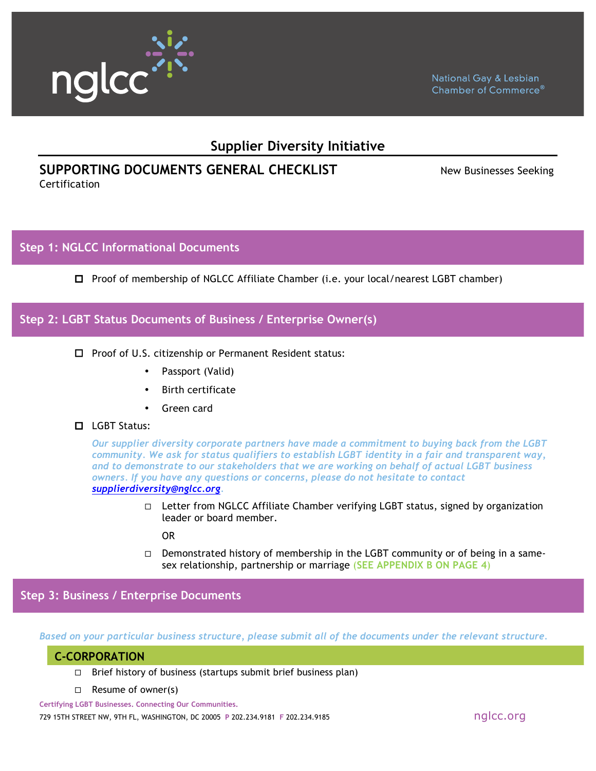

# **Supplier Diversity Initiative**

# **SUPPORTING DOCUMENTS GENERAL CHECKLIST** New Businesses Seeking

Certification

# **Step 1: NGLCC Informational Documents**

 $\Box$  Proof of membership of NGLCC Affiliate Chamber (i.e. your local/nearest LGBT chamber)

## **Step 2: LGBT Status Documents of Business / Enterprise Owner(s)**

- $\Box$  Proof of U.S. citizenship or Permanent Resident status:
	- Passport (Valid)
	- Birth certificate
	- Green card

#### **II** LGBT Status:

*Our supplier diversity corporate partners have made a commitment to buying back from the LGBT community. We ask for status qualifiers to establish LGBT identity in a fair and transparent way, and to demonstrate to our stakeholders that we are working on behalf of actual LGBT business owners. If you have any questions or concerns, please do not hesitate to contact supplierdiversity@nglcc.org.*

> $\Box$  Letter from NGLCC Affiliate Chamber verifying LGBT status, signed by organization leader or board member.

OR

 $\Box$  Demonstrated history of membership in the LGBT community or of being in a samesex relationship, partnership or marriage (**SEE APPENDIX B ON PAGE 4**)

**Step 3: Business / Enterprise Documents**

*Based on your particular business structure, please submit all of the documents under the relevant structure.*

# " **CORPORATION: C-CORPORATION**

- $\Box$  Brief history of business (startups submit brief business plan)
- $\Box$  Resume of owner(s)

**Certifying LGBT Businesses. Connecting Our Communities.** 729 15TH STREET NW, 9TH FL, WASHINGTON, DC 20005 **<sup>P</sup>** 202.234.9181 **<sup>F</sup>** 202.234.9185 nglcc.org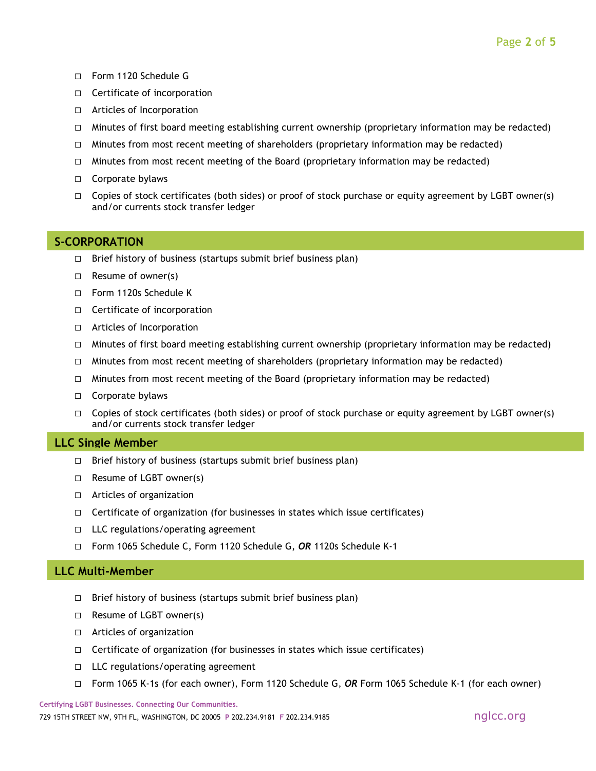- □ Form 1120 Schedule G
- $\Box$  Certificate of incorporation
- $\Box$  Articles of Incorporation
- $\Box$  Minutes of first board meeting establishing current ownership (proprietary information may be redacted)
- $\Box$  Minutes from most recent meeting of shareholders (proprietary information may be redacted)
- $\Box$  Minutes from most recent meeting of the Board (proprietary information may be redacted)
- □ Corporate bylaws
- $\Box$  Copies of stock certificates (both sides) or proof of stock purchase or equity agreement by LGBT owner(s) and/or currents stock transfer ledger

#### **S-CORPORATION**

- $\Box$  Brief history of business (startups submit brief business plan)
- $\Box$  Resume of owner(s)
- □ Form 1120s Schedule K
- $\Box$  Certificate of incorporation
- $\Box$  Articles of Incorporation
- $\Box$  Minutes of first board meeting establishing current ownership (proprietary information may be redacted)
- $\Box$  Minutes from most recent meeting of shareholders (proprietary information may be redacted)
- $\Box$  Minutes from most recent meeting of the Board (proprietary information may be redacted)
- □ Corporate bylaws
- $\Box$  Copies of stock certificates (both sides) or proof of stock purchase or equity agreement by LGBT owner(s) and/or currents stock transfer ledger

#### " **LLC: LLC Single Member**

- $\Box$  Brief history of business (startups submit brief business plan)
- $\Box$  Resume of LGBT owner(s)
- $\Box$  Articles of organization
- $\Box$  Certificate of organization (for businesses in states which issue certificates)
- $\Box$  LLC regulations/operating agreement
- " Form 1065 Schedule C, Form 1120 Schedule G, *OR* 1120s Schedule K-1

#### **LLC Multi-Member**

- $\Box$  Brief history of business (startups submit brief business plan)
- $\Box$  Resume of LGBT owner(s)
- $\Box$  Articles of organization
- $\Box$  Certificate of organization (for businesses in states which issue certificates)
- $\Box$  LLC regulations/operating agreement
- " Form 1065 K-1s (for each owner), Form 1120 Schedule G, *OR* Form 1065 Schedule K-1 (for each owner)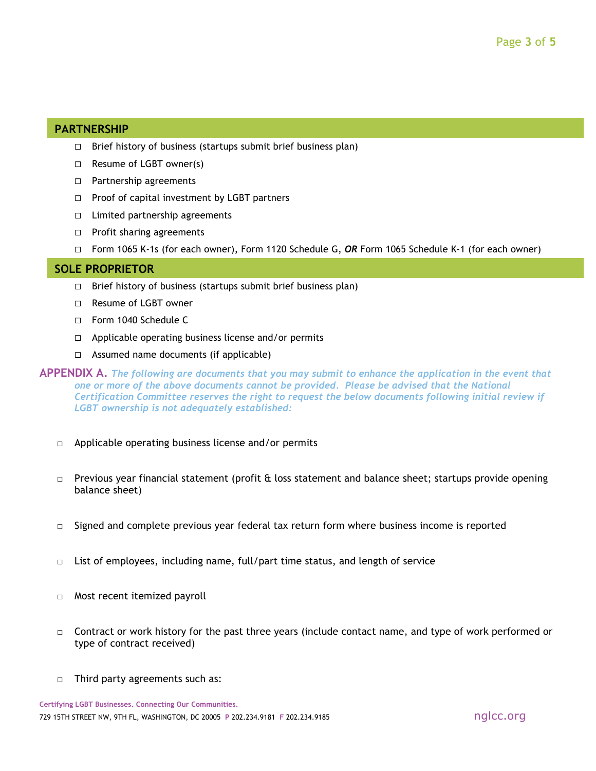### " **PARTNERSHIP: PARTNERSHIP**

- $\Box$  Brief history of business (startups submit brief business plan)
- $\Box$  Resume of LGBT owner(s)
- □ Partnership agreements
- $\Box$  Proof of capital investment by LGBT partners
- $\Box$  Limited partnership agreements
- $\Box$  Profit sharing agreements
- " Form 1065 K-1s (for each owner), Form 1120 Schedule G, *OR* Form 1065 Schedule K-1 (for each owner)

### " **SOLE PROPRIETOR: SOLE PROPRIETOR**

- $\Box$  Brief history of business (startups submit brief business plan)
- □ Resume of LGBT owner
- Form 1040 Schedule C
- $\Box$  Applicable operating business license and/or permits
- $\Box$  Assumed name documents (if applicable)

**APPENDIX A.** *The following are documents that you may submit to enhance the application in the event that one or more of the above documents cannot be provided. Please be advised that the National Certification Committee reserves the right to request the below documents following initial review if LGBT ownership is not adequately established:*

- □ Applicable operating business license and/or permits
- $\Box$  Previous year financial statement (profit & loss statement and balance sheet; startups provide opening balance sheet)
- $\Box$  Signed and complete previous year federal tax return form where business income is reported
- $\Box$  List of employees, including name, full/part time status, and length of service
- □ Most recent itemized payroll
- □ Contract or work history for the past three years (include contact name, and type of work performed or type of contract received)
- □ Third party agreements such as:

**Certifying LGBT Businesses. Connecting Our Communities.** 729 15TH STREET NW, 9TH FL, WASHINGTON, DC 20005 **<sup>P</sup>** 202.234.9181 **<sup>F</sup>** 202.234.9185 nglcc.org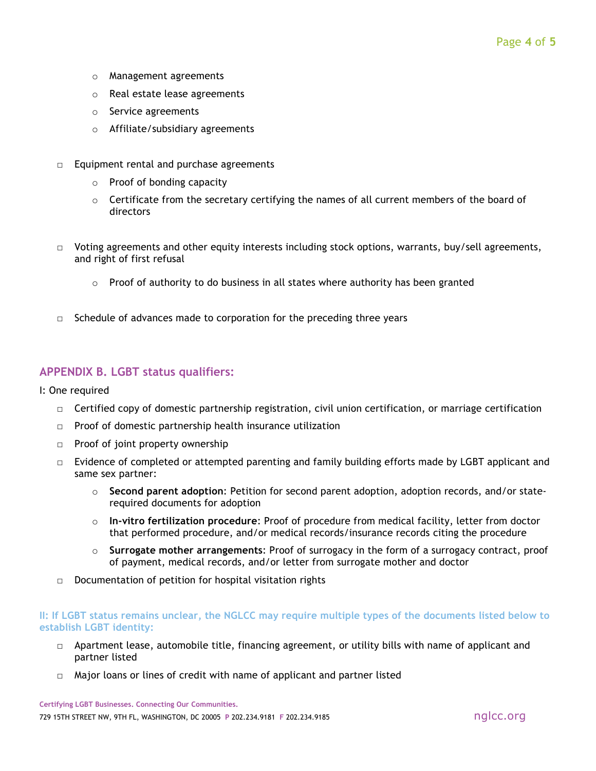- o Management agreements
- o Real estate lease agreements
- o Service agreements
- o Affiliate/subsidiary agreements
- $\Box$  Equipment rental and purchase agreements
	- o Proof of bonding capacity
	- $\circ$  Certificate from the secretary certifying the names of all current members of the board of directors
- $\Box$  Voting agreements and other equity interests including stock options, warrants, buy/sell agreements, and right of first refusal
	- $\circ$  Proof of authority to do business in all states where authority has been granted
- $\Box$  Schedule of advances made to corporation for the preceding three years

### **APPENDIX B. LGBT status qualifiers:**

- I: One required
	- $\Box$  Certified copy of domestic partnership registration, civil union certification, or marriage certification
	- □ Proof of domestic partnership health insurance utilization
	- □ Proof of joint property ownership
	- $\Box$  Evidence of completed or attempted parenting and family building efforts made by LGBT applicant and same sex partner:
		- o **Second parent adoption**: Petition for second parent adoption, adoption records, and/or staterequired documents for adoption
		- o **In-vitro fertilization procedure**: Proof of procedure from medical facility, letter from doctor that performed procedure, and/or medical records/insurance records citing the procedure
		- o **Surrogate mother arrangements**: Proof of surrogacy in the form of a surrogacy contract, proof of payment, medical records, and/or letter from surrogate mother and doctor
	- □ Documentation of petition for hospital visitation rights

#### **II: If LGBT status remains unclear, the NGLCC may require multiple types of the documents listed below to establish LGBT identity:**

- □ Apartment lease, automobile title, financing agreement, or utility bills with name of applicant and partner listed
- $\Box$  Major loans or lines of credit with name of applicant and partner listed